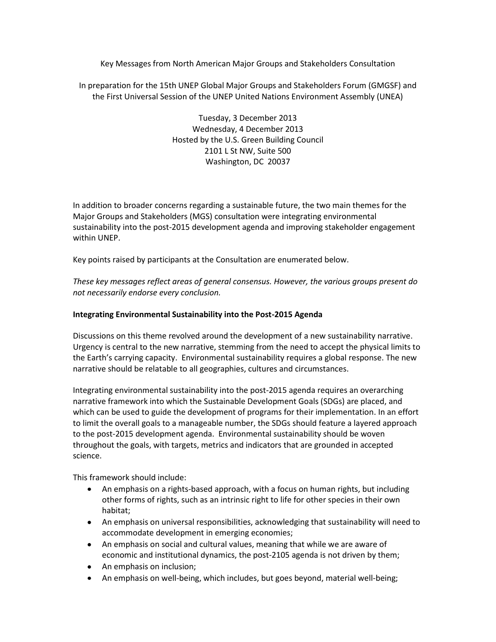Key Messages from North American Major Groups and Stakeholders Consultation

In preparation for the 15th UNEP Global Major Groups and Stakeholders Forum (GMGSF) and the First Universal Session of the UNEP United Nations Environment Assembly (UNEA)

> Tuesday, 3 December 2013 Wednesday, 4 December 2013 Hosted by the U.S. Green Building Council 2101 L St NW, Suite 500 Washington, DC 20037

In addition to broader concerns regarding a sustainable future, the two main themes for the Major Groups and Stakeholders (MGS) consultation were integrating environmental sustainability into the post-2015 development agenda and improving stakeholder engagement within UNEP.

Key points raised by participants at the Consultation are enumerated below.

*These key messages reflect areas of general consensus. However, the various groups present do not necessarily endorse every conclusion.*

## **Integrating Environmental Sustainability into the Post-2015 Agenda**

Discussions on this theme revolved around the development of a new sustainability narrative. Urgency is central to the new narrative, stemming from the need to accept the physical limits to the Earth's carrying capacity. Environmental sustainability requires a global response. The new narrative should be relatable to all geographies, cultures and circumstances.

Integrating environmental sustainability into the post-2015 agenda requires an overarching narrative framework into which the Sustainable Development Goals (SDGs) are placed, and which can be used to guide the development of programs for their implementation. In an effort to limit the overall goals to a manageable number, the SDGs should feature a layered approach to the post-2015 development agenda. Environmental sustainability should be woven throughout the goals, with targets, metrics and indicators that are grounded in accepted science.

This framework should include:

- An emphasis on a rights-based approach, with a focus on human rights, but including other forms of rights, such as an intrinsic right to life for other species in their own habitat;
- An emphasis on universal responsibilities, acknowledging that sustainability will need to accommodate development in emerging economies;
- An emphasis on social and cultural values, meaning that while we are aware of economic and institutional dynamics, the post-2105 agenda is not driven by them;
- An emphasis on inclusion;
- An emphasis on well-being, which includes, but goes beyond, material well-being;